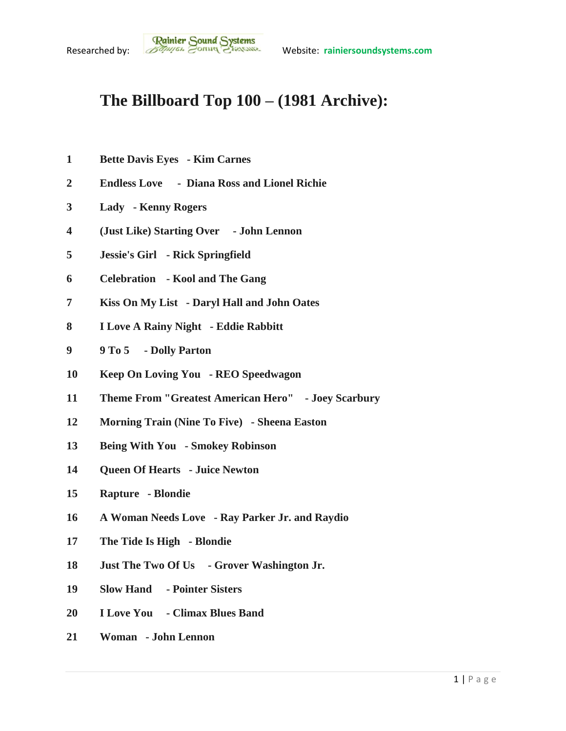## **The Billboard Top 100 – (1981 Archive):**

- **Bette Davis Eyes - Kim Carnes**
- **Endless Love - Diana Ross and Lionel Richie**
- **Lady - Kenny Rogers**
- **(Just Like) Starting Over - John Lennon**
- **Jessie's Girl - Rick Springfield**
- **Celebration - Kool and The Gang**
- **Kiss On My List - Daryl Hall and John Oates**
- **I Love A Rainy Night - Eddie Rabbitt**
- **9 To 5 - Dolly Parton**
- **Keep On Loving You - REO Speedwagon**
- **Theme From "Greatest American Hero" - Joey Scarbury**
- **Morning Train (Nine To Five) - Sheena Easton**
- **Being With You - Smokey Robinson**
- **Queen Of Hearts - Juice Newton**
- **Rapture - Blondie**
- **A Woman Needs Love - Ray Parker Jr. and Raydio**
- **The Tide Is High - Blondie**
- **Just The Two Of Us - Grover Washington Jr.**
- **Slow Hand - Pointer Sisters**
- **I Love You - Climax Blues Band**
- **Woman - John Lennon**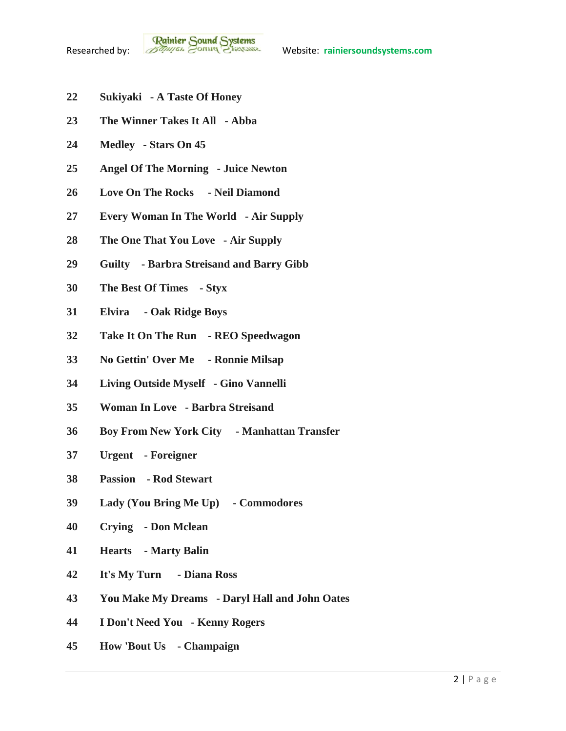- **Sukiyaki - A Taste Of Honey**
- **The Winner Takes It All - Abba**
- **Medley - Stars On 45**
- **Angel Of The Morning - Juice Newton**
- **Love On The Rocks - Neil Diamond**
- **Every Woman In The World - Air Supply**
- **The One That You Love - Air Supply**
- **Guilty - Barbra Streisand and Barry Gibb**
- **The Best Of Times - Styx**
- **Elvira - Oak Ridge Boys**
- **Take It On The Run - REO Speedwagon**
- **No Gettin' Over Me - Ronnie Milsap**
- **Living Outside Myself - Gino Vannelli**
- **Woman In Love - Barbra Streisand**
- **Boy From New York City - Manhattan Transfer**
- **Urgent - Foreigner**
- **Passion - Rod Stewart**
- **Lady (You Bring Me Up) - Commodores**
- **Crying - Don Mclean**
- **Hearts - Marty Balin**
- **It's My Turn - Diana Ross**
- **You Make My Dreams - Daryl Hall and John Oates**
- **I Don't Need You - Kenny Rogers**
- **How 'Bout Us - Champaign**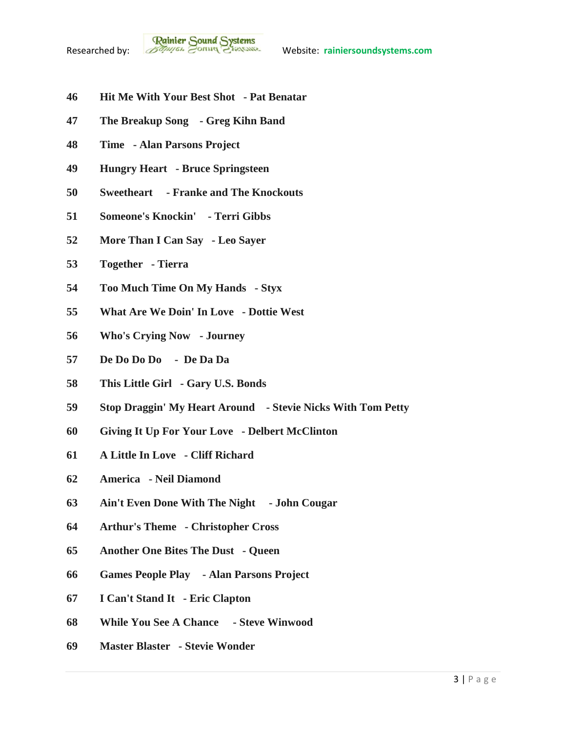- **Hit Me With Your Best Shot - Pat Benatar**
- **The Breakup Song - Greg Kihn Band**
- **Time - Alan Parsons Project**
- **Hungry Heart - Bruce Springsteen**
- **Sweetheart - Franke and The Knockouts**
- **Someone's Knockin' - Terri Gibbs**
- **More Than I Can Say - Leo Sayer**
- **Together - Tierra**
- **Too Much Time On My Hands - Styx**
- **What Are We Doin' In Love - Dottie West**
- **Who's Crying Now - Journey**
- **De Do Do Do De Da Da**
- **This Little Girl - Gary U.S. Bonds**
- **Stop Draggin' My Heart Around - Stevie Nicks With Tom Petty**
- **Giving It Up For Your Love - Delbert McClinton**
- **A Little In Love - Cliff Richard**
- **America - Neil Diamond**
- **Ain't Even Done With The Night - John Cougar**
- **Arthur's Theme - Christopher Cross**
- **Another One Bites The Dust - Queen**
- **Games People Play - Alan Parsons Project**
- **I Can't Stand It - Eric Clapton**
- **While You See A Chance - Steve Winwood**
- **Master Blaster - Stevie Wonder**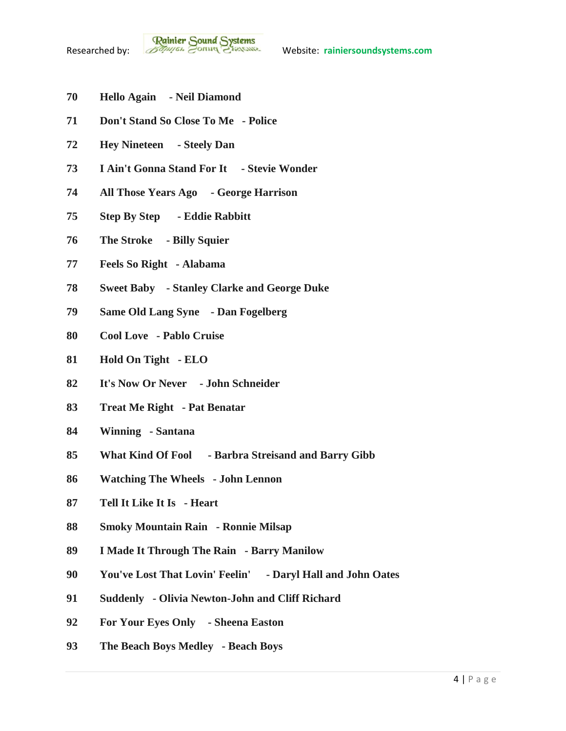- **Hello Again - Neil Diamond**
- **Don't Stand So Close To Me - Police**
- **Hey Nineteen - Steely Dan**
- **I Ain't Gonna Stand For It - Stevie Wonder**
- **All Those Years Ago - George Harrison**
- **Step By Step - Eddie Rabbitt**
- **The Stroke - Billy Squier**
- **Feels So Right - Alabama**
- **Sweet Baby - Stanley Clarke and George Duke**
- **Same Old Lang Syne - Dan Fogelberg**
- **Cool Love - Pablo Cruise**
- **Hold On Tight - ELO**
- **It's Now Or Never - John Schneider**
- **Treat Me Right - Pat Benatar**
- **Winning - Santana**
- **What Kind Of Fool - Barbra Streisand and Barry Gibb**
- **Watching The Wheels - John Lennon**
- **Tell It Like It Is - Heart**
- **Smoky Mountain Rain - Ronnie Milsap**
- **I Made It Through The Rain - Barry Manilow**
- **You've Lost That Lovin' Feelin' - Daryl Hall and John Oates**
- **Suddenly - Olivia Newton-John and Cliff Richard**
- **For Your Eyes Only - Sheena Easton**
- **The Beach Boys Medley - Beach Boys**